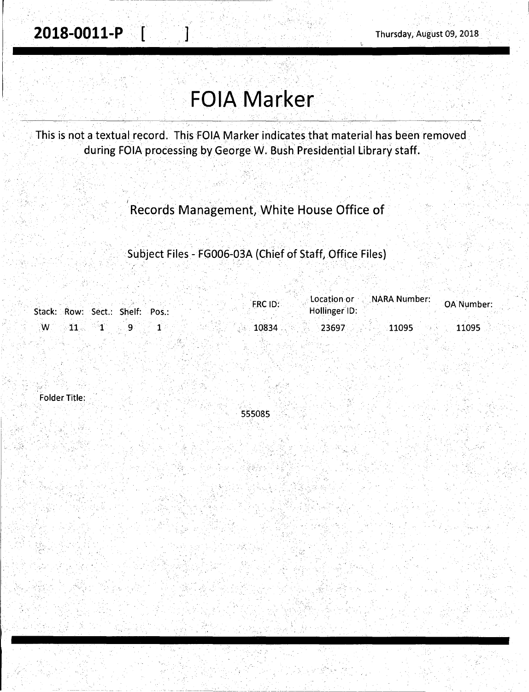!-----~-----\_ --------- -\_-----

## **FOIA Marker**

This is not a textual record. This FOIA Marker indicates that material has been removed during FOIA processing by George W. Bush Presidential Library staff.

Records Management, White House Office of

Subject Files - FG006-03A (Chief of Staff, Office Files)

|                                         | FRC ID: | <b>Location or CONARA Number:</b><br>Hollinger ID: | OA Number: |
|-----------------------------------------|---------|----------------------------------------------------|------------|
| Stack: Row: Sect.: Shelf: Pos.:         |         |                                                    |            |
| $\mathbf{W} = \mathbf{11}$ $\mathbf{1}$ | 10834   | 11095<br>23697                                     | 11095      |

Folder Title:

. *: ...* 

' 555085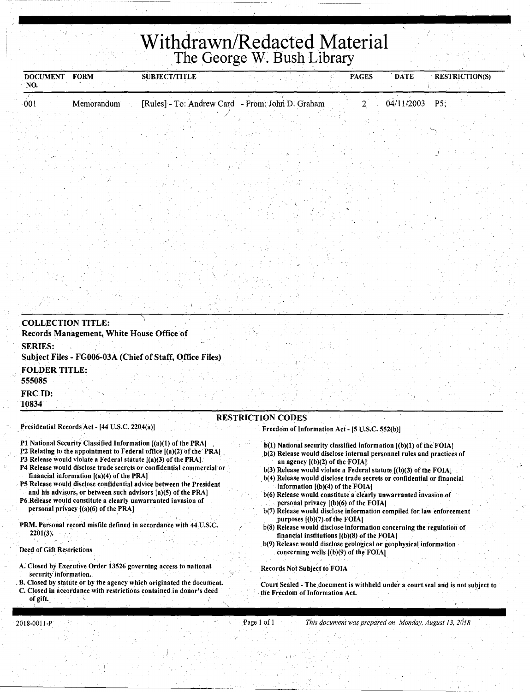## **Withdrawn/Redacted Material**  .The George W. Bush Library

| <b>DOCUMENT</b><br>NO.    | <b>FORM</b>                                    | <b>SUBJECT/TITLE</b>                                                                                                                                                                                       |                                                                                                                                             | <b>PAGES</b> | <b>DATE</b> | <b>RESTRICTION(S)</b> |
|---------------------------|------------------------------------------------|------------------------------------------------------------------------------------------------------------------------------------------------------------------------------------------------------------|---------------------------------------------------------------------------------------------------------------------------------------------|--------------|-------------|-----------------------|
| 001                       | Memorandum                                     | [Rules] - To: Andrew Card - From: John D. Graham                                                                                                                                                           |                                                                                                                                             | 2            | 04/11/2003  | P5;                   |
|                           |                                                |                                                                                                                                                                                                            |                                                                                                                                             |              |             |                       |
|                           |                                                |                                                                                                                                                                                                            |                                                                                                                                             |              |             |                       |
|                           |                                                |                                                                                                                                                                                                            |                                                                                                                                             |              |             |                       |
|                           |                                                |                                                                                                                                                                                                            |                                                                                                                                             |              |             |                       |
|                           |                                                |                                                                                                                                                                                                            |                                                                                                                                             |              |             |                       |
|                           |                                                |                                                                                                                                                                                                            |                                                                                                                                             |              |             |                       |
|                           |                                                |                                                                                                                                                                                                            |                                                                                                                                             |              |             |                       |
|                           |                                                |                                                                                                                                                                                                            |                                                                                                                                             |              |             |                       |
|                           |                                                |                                                                                                                                                                                                            |                                                                                                                                             |              |             |                       |
|                           |                                                |                                                                                                                                                                                                            |                                                                                                                                             |              |             |                       |
|                           |                                                |                                                                                                                                                                                                            |                                                                                                                                             |              |             |                       |
|                           |                                                |                                                                                                                                                                                                            |                                                                                                                                             |              |             |                       |
|                           |                                                |                                                                                                                                                                                                            |                                                                                                                                             |              |             |                       |
| <b>COLLECTION TITLE:</b>  |                                                |                                                                                                                                                                                                            |                                                                                                                                             |              |             |                       |
|                           | Records Management, White House Office of      |                                                                                                                                                                                                            |                                                                                                                                             |              |             |                       |
| <b>SERIES:</b>            |                                                | Subject Files - FG006-03A (Chief of Staff, Office Files)                                                                                                                                                   |                                                                                                                                             |              |             |                       |
| <b>FOLDER TITLE:</b>      |                                                |                                                                                                                                                                                                            |                                                                                                                                             |              |             |                       |
| 555085                    |                                                |                                                                                                                                                                                                            |                                                                                                                                             |              |             |                       |
| FRC ID:<br>10834          |                                                |                                                                                                                                                                                                            |                                                                                                                                             |              |             |                       |
|                           |                                                |                                                                                                                                                                                                            | <b>RESTRICTION CODES</b>                                                                                                                    |              |             |                       |
|                           | Presidential Records Act - [44 U.S.C. 2204(a)] |                                                                                                                                                                                                            | Freedom of Information Act - [5 U.S.C. 552(b)]                                                                                              |              |             |                       |
|                           |                                                | P1 National Security Classified Information [(a)(1) of the PRA]<br>P2 Relating to the appointment to Federal office [(a)(2) of the PRA]<br>P3 Release would violate a Federal statute [(a)(3) of the PRA]. | b(1) National security classified information [(b)(1) of the FOIA]<br>b(2) Release would disclose internal personnel rules and practices of |              |             |                       |
|                           |                                                | P4 Release would disclose trade secrets or confidential commercial or                                                                                                                                      | an agency $[(b)(2)$ of the FOIA]<br>b(3) Release would violate a Federal statute [(b)(3) of the FOIA]                                       |              |             |                       |
|                           | financial information $[(a)(4)$ of the PRA]    | P5 Release would disclose confidential advice between the President                                                                                                                                        | b(4) Release would disclose trade secrets or confidential or financial<br>information $[(b)(4)$ of the FOIA.                                |              |             |                       |
|                           |                                                | and his advisors, or between such advisors $[a](5)$ of the PRA<br>P6 Release would constitute a clearly unwarranted invasion of                                                                            | b(6) Release would constitute a clearly unwarranted invasion of<br>personal privacy $[(b)(6)$ of the FOIA $]$                               |              |             |                       |
|                           | personal privacy $[(a)(6)$ of the PRA]         |                                                                                                                                                                                                            | b(7) Release would disclose information compiled for law enforcement<br>purposes $[(b)(7)$ of the FOIA                                      |              |             |                       |
| $2201(3)$ .               |                                                | PRM. Personal record misfile defined in accordance with 44 U.S.C.                                                                                                                                          | b(8) Release would disclose information concerning the regulation of<br>financial institutions $[(b)(8)$ of the FOIA]                       |              |             |                       |
| Deed of Gift Restrictions |                                                |                                                                                                                                                                                                            | b(9) Release would disclose geological or geophysical information                                                                           |              |             |                       |
|                           |                                                |                                                                                                                                                                                                            | concerning wells $[(b)(9)$ of the FOIA]                                                                                                     |              |             |                       |

A. Closed by Executive Order 13526 governing access to national security information.

, B. Closed by statute or by the agency which originated the document. C. Closed in accordance with restrictions contained in donor's deed of gift.

Records Not Subject to FOIA

Court Sealed - The document is withheld under a courtseal and is not subject to the Freedom of Information Act.

 $\frac{1}{2}$ 

\ *This <focumeni was prepared on Monday, August 13, 20'18*